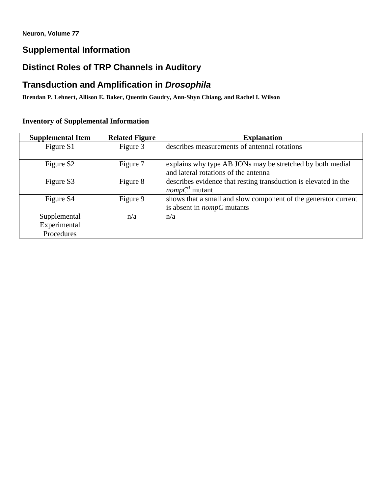# **Supplemental Information**

# **Distinct Roles of TRP Channels in Auditory**

# **Transduction and Amplification in** *Drosophila*

**Brendan P. Lehnert, Allison E. Baker, Quentin Gaudry, Ann-Shyn Chiang, and Rachel I. Wilson**

# **Inventory of Supplemental Information**

| <b>Supplemental Item</b> | <b>Related Figure</b> | <b>Explanation</b>                                              |
|--------------------------|-----------------------|-----------------------------------------------------------------|
| Figure S1                | Figure 3              | describes measurements of antennal rotations                    |
|                          |                       |                                                                 |
| Figure S <sub>2</sub>    | Figure 7              | explains why type AB JONs may be stretched by both medial       |
|                          |                       | and lateral rotations of the antenna                            |
| Figure S3                | Figure 8              | describes evidence that resting transduction is elevated in the |
|                          |                       | <i>nomp</i> $C^3$ mutant                                        |
| Figure S4                | Figure 9              | shows that a small and slow component of the generator current  |
|                          |                       | is absent in $\text{nompC}$ mutants                             |
| Supplemental             | n/a                   | n/a                                                             |
| Experimental             |                       |                                                                 |
| Procedures               |                       |                                                                 |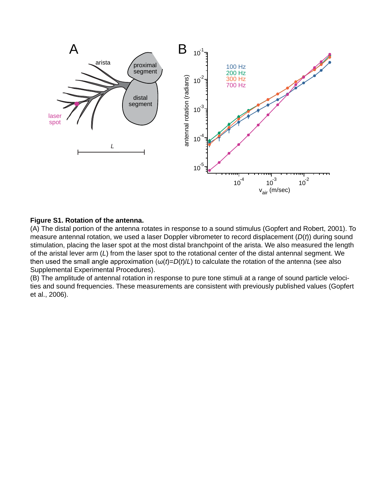

### **Figure S1. Rotation of the antenna.**

(A) The distal portion of the antenna rotates in response to a sound stimulus (Gopfert and Robert, 2001). To measure antennal rotation, we used a laser Doppler vibrometer to record displacement (*D*(*t*)) during sound stimulation, placing the laser spot at the most distal branchpoint of the arista. We also measured the length of the aristal lever arm (*L*) from the laser spot to the rotational center of the distal antennal segment. We then used the small angle approximation  $(\omega(t)=D(t)/L)$  to calculate the rotation of the antenna (see also Supplemental Experimental Procedures).

(B) The amplitude of antennal rotation in response to pure tone stimuli at a range of sound particle velocities and sound frequencies. These measurements are consistent with previously published values (Gopfert et al., 2006).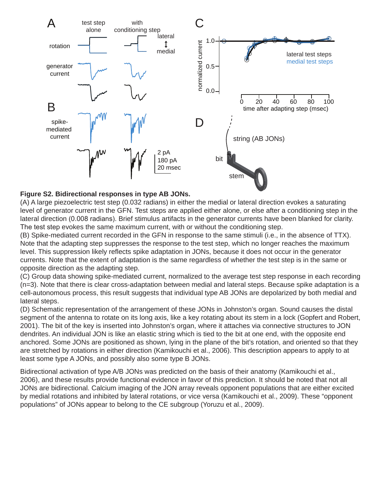

## **Figure S2. Bidirectional responses in type AB JONs.**

(A) A large piezoelectric test step (0.032 radians) in either the medial or lateral direction evokes a saturating level of generator current in the GFN. Test steps are applied either alone, or else after a conditioning step in the lateral direction (0.008 radians). Brief stimulus artifacts in the generator currents have been blanked for clarity. The test step evokes the same maximum current, with or without the conditioning step.

(B) Spike-mediated current recorded in the GFN in response to the same stimuli (i.e., in the absence of TTX). Note that the adapting step suppresses the response to the test step, which no longer reaches the maximum level. This suppression likely reflects spike adaptation in JONs, because it does not occur in the generator currents. Note that the extent of adaptation is the same regardless of whether the test step is in the same or opposite direction as the adapting step.

(C) Group data showing spike-mediated current, normalized to the average test step response in each recording (n=3). Note that there is clear cross-adaptation between medial and lateral steps. Because spike adaptation is a cell-autonomous process, this result suggests that individual type AB JONs are depolarized by both medial and lateral steps.

(D) Schematic representation of the arrangement of these JONs in Johnston's organ. Sound causes the distal segment of the antenna to rotate on its long axis, like a key rotating about its stem in a lock (Gopfert and Robert, 2001). The bit of the key is inserted into Johnston's organ, where it attaches via connective structures to JON dendrites. An individual JON is like an elastic string which is tied to the bit at one end, with the opposite end anchored. Some JONs are positioned as shown, lying in the plane of the bit's rotation, and oriented so that they are stretched by rotations in either direction (Kamikouchi et al., 2006). This description appears to apply to at least some type A JONs, and possibly also some type B JONs.

Bidirectional activation of type A/B JONs was predicted on the basis of their anatomy (Kamikouchi et al., 2006), and these results provide functional evidence in favor of this prediction. It should be noted that not all JONs are bidirectional. Calcium imaging of the JON array reveals opponent populations that are either excited by medial rotations and inhibited by lateral rotations, or vice versa (Kamikouchi et al., 2009). These "opponent populations" of JONs appear to belong to the CE subgroup (Yoruzu et al., 2009).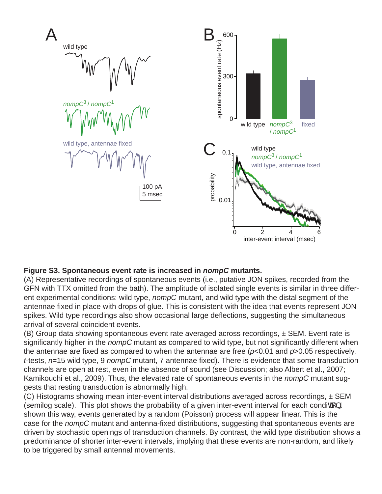

# **Figure S3. Spontaneous event rate is increased in** *nompC* **mutants.**

(A) Representative recordings of spontaneous events (i.e., putative JON spikes, recorded from the GFN with TTX omitted from the bath). The amplitude of isolated single events is similar in three different experimental conditions: wild type, *nompC* mutant, and wild type with the distal segment of the antennae fixed in place with drops of glue. This is consistent with the idea that events represent JON spikes. Wild type recordings also show occasional large deflections, suggesting the simultaneous arrival of several coincident events.

 $(B)$  Group data showing spontaneous event rate averaged across recordings,  $\pm$  SEM. Event rate is significantly higher in the *nompC* mutant as compared to wild type, but not significantly different when the antennae are fixed as compared to when the antennae are free (*p*<0.01 and *p*>0.05 respectively, *t*-tests, *n*=15 wild type, 9 *nompC* mutant, 7 antennae fixed). There is evidence that some transduction channels are open at rest, even in the absence of sound (see Discussion; also Albert et al., 2007; Kamikouchi et al., 2009). Thus, the elevated rate of spontaneous events in the *nompC* mutant suggests that resting transduction is abnormally high.

(C) Histograms showing mean inter-event interval distributions averaged across recordings, ± SEM (semilog scale). This plot shows the probability of a given inter-event interval for each condica  $L$ shown this way, events generated by a random (Poisson) process will appear linear. This is the case for the *nompC* mutant and antenna-fixed distributions, suggesting that spontaneous events are driven by stochastic openings of transduction channels. By contrast, the wild type distribution shows a predominance of shorter inter-event intervals, implying that these events are non-random, and likely to be triggered by small antennal movements.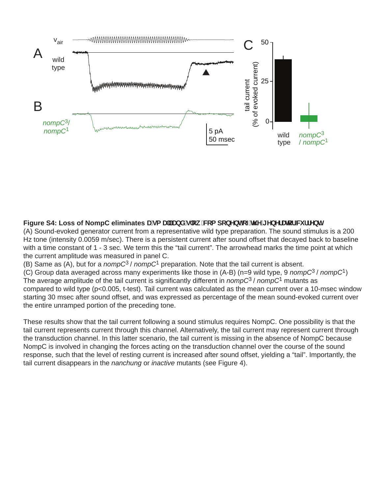

# Figure S4: Loss of NompC eliminates Uga U"UbX'g'ck 'Wa dcbYbhcZh Y'[ YbYfUrcf'W ffYbh

(A) Sound-evoked generator current from a representative wild type preparation. The sound stimulus is a 200 Hz tone (intensity 0.0059 m/sec). There is a persistent current after sound offset that decayed back to baseline with a time constant of 1 - 3 sec. We term this the "tail current". The arrowhead marks the time point at which the current amplitude was measured in panel C.

(B) Same as (A), but for a *nompC*3 / *nompC*1 preparation. Note that the tail current is absent.

(C) Group data averaged across many experiments like those in (A-B) (n=9 wild type, 9 *nompC*3 / *nompC*1) The average amplitude of the tail current is significantly different in *nompC*3 / *nompC*1 mutants as compared to wild type (p<0.005, t-test). Tail current was calculated as the mean current over a 10-msec window starting 30 msec after sound offset, and was expressed as percentage of the mean sound-evoked current over the entire unramped portion of the preceding tone.

These results show that the tail current following a sound stimulus requires NompC. One possibility is that the tail current represents current through this channel. Alternatively, the tail current may represent current through the transduction channel. In this latter scenario, the tail current is missing in the absence of NompC because NompC is involved in changing the forces acting on the transduction channel over the course of the sound response, such that the level of resting current is increased after sound offset, yielding a "tail". Importantly, the tail current disappears in the *nanchung* or *inactive* mutants (see Figure 4).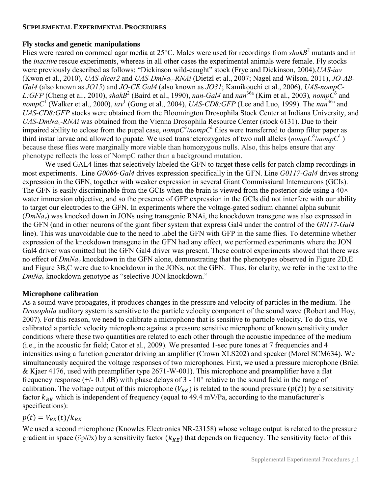## **SUPPLEMENTAL EXPERIMENTAL PROCEDURES**

## **Fly stocks and genetic manipulations**

Flies were reared on cornmeal agar media at 25°C. Males were used for recordings from *shakB*<sup>2</sup> mutants and in the *inactive* rescue experiments, whereas in all other cases the experimental animals were female. Fly stocks were previously described as follows: "Dickinson wild-caught" stock [\(Frye and Dickinson, 2004\)](#page-12-0),*UAS-iav* [\(Kwon et al., 2010\)](#page-12-1), *UAS-dicer2* and *UAS-DmNav-RNAi* [\(Dietzl et al., 2007;](#page-12-2) [Nagel and Wilson, 2011\)](#page-12-3), *JO-AB-Gal4* (also known as *JO15*) and *JO-CE Gal4* (also known as *JO31*[; Kamikouchi et al., 2006\)](#page-12-4), *UAS-nompC-*L:GFP [\(Cheng et al., 2010\)](#page-12-5), *shakB*<sup>2</sup> [\(Baird et al., 1990\)](#page-12-6), *nan-Gal4* and *nan*<sup>36a</sup> [\(Kim et al., 2003\)](#page-12-7), *nomp* $\bar{C}^3$  and nompC<sup>1</sup> [\(Walker et al., 2000\)](#page-12-8), *iav*<sup>1</sup> [\(Gong et al., 2004\)](#page-12-9), *UAS-CD8:GFP* [\(Lee and Luo, 1999\)](#page-12-10). The *nan*<sup>36a</sup> and *UAS-CD8:GFP* stocks were obtained from the Bloomington Drosophila Stock Center at Indiana University, and *UAS-DmNav-RNAi* was obtained from the Vienna Drosophila Resource Center (stock 6131). Due to their impaired ability to eclose from the pupal case,  $\text{nompC}^3/\text{nompC}^1$  flies were transferred to damp filter paper as third instar larvae and allowed to pupate. We used transheterozygotes of two null alleles (*nompC*<sup>3</sup>/*nompC*<sup>1</sup>) because these flies were marginally more viable than homozygous nulls. Also, this helps ensure that any phenotype reflects the loss of NompC rather than a background mutation.

 We used GAL4 lines that selectively labeled the GFN to target these cells for patch clamp recordings in most experiments. Line *G0066-Gal4* drives expression specifically in the GFN. Line *G0117-Gal4* drives strong expression in the GFN, together with weaker expression in several Giant Commissiural Interneurons (GCIs). The GFN is easily discriminable from the GCIs when the brain is viewed from the posterior side using a  $40\times$ water immersion objective, and so the presence of GFP expression in the GCIs did not interfere with our ability to target our electrodes to the GFN. In experiments where the voltage-gated sodium channel alpha subunit (*DmNav*) was knocked down in JONs using transgenic RNAi, the knockdown transgene was also expressed in the GFN (and in other neurons of the giant fiber system that express Gal4 under the control of the *G0117-Gal4* line). This was unavoidable due to the need to label the GFN with GFP in the same flies. To determine whether expression of the knockdown transgene in the GFN had any effect, we performed experiments where the JON Gal4 driver was omitted but the GFN Gal4 driver was present. These control experiments showed that there was no effect of *DmNa<sup>v</sup>* knockdown in the GFN alone, demonstrating that the phenotypes observed in Figure 2D,E and Figure 3B,C were due to knockdown in the JONs, not the GFN. Thus, for clarity, we refer in the text to the *DmNa<sup>v</sup>* knockdown genotype as "selective JON knockdown."

# **Microphone calibration**

As a sound wave propagates, it produces changes in the pressure and velocity of particles in the medium. The *Drosophila* auditory system is sensitive to the particle velocity component of the sound wave [\(Robert and Hoy,](#page-12-11)  [2007\)](#page-12-11). For this reason, we need to calibrate a microphone that is sensitive to particle velocity. To do this, we calibrated a particle velocity microphone against a pressure sensitive microphone of known sensitivity under conditions where these two quantities are related to each other through the acoustic impedance of the medium [\(i.e., in the acoustic far field; Cator et al., 2009\)](#page-12-12). We presented 1-sec pure tones at 7 frequencies and 4 intensities using a function generator driving an amplifier (Crown XLS202) and speaker (Morel SCM634). We simultaneously acquired the voltage responses of two microphones. First, we used a pressure microphone (Brüel & Kjaer 4176, used with preamplifier type 2671-W-001). This microphone and preamplifier have a flat frequency response (+/- 0.1 dB) with phase delays of 3 - 10° relative to the sound field in the range of calibration. The voltage output of this microphone  $(V_{BK})$  is related to the sound pressure  $(p(t))$  by a sensitivity factor  $k_{BK}$  which is independent of frequency (equal to 49.4 mV/Pa, according to the manufacturer's specifications):

# $p(t) = V_{BK}(t) / k_{BK}$

We used a second microphone (Knowles Electronics NR-23158) whose voltage output is related to the pressure gradient in space ( $\partial p/\partial x$ ) by a sensitivity factor ( $k_{KE}$ ) that depends on frequency. The sensitivity factor of this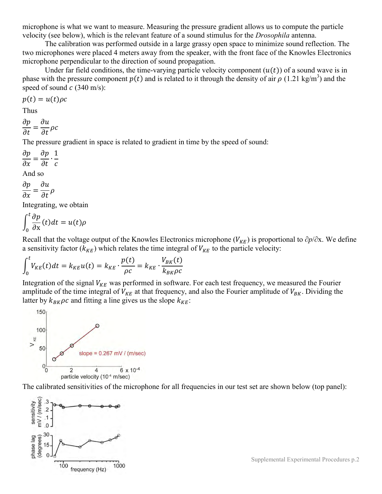microphone is what we want to measure. Measuring the pressure gradient allows us to compute the particle velocity (see below), which is the relevant feature of a sound stimulus for the *Drosophila* antenna.

The calibration was performed outside in a large grassy open space to minimize sound reflection. The two microphones were placed 4 meters away from the speaker, with the front face of the Knowles Electronics microphone perpendicular to the direction of sound propagation.

Under far field conditions, the time-varying particle velocity component  $(u(t))$  of a sound wave is in phase with the pressure component  $p(t)$  and is related to it through the density of air  $\rho$  (1.21 kg/m<sup>3</sup>) and the speed of sound  $c$  (340 m/s):

$$
p(t) = u(t)\rho c
$$

Thus

 $\partial$  $\partial$  $\partial$  $\partial$ 

The pressure gradient in space is related to gradient in time by the speed of sound:

 $\partial$  $\partial$  $\partial$  $\partial$  $\mathbf{1}$  $\mathcal{C}$ And so

$$
\frac{\partial p}{\partial x} = \frac{\partial u}{\partial t} \rho
$$

Integrating, we obtain

$$
\int_0^t \frac{\partial p}{\partial x}(t) dt = u(t)\rho
$$

Recall that the voltage output of the Knowles Electronics microphone ( $V_{KE}$ ) is proportional to  $\partial p/\partial x$ . We define a sensitivity factor ( $k_{KE}$ ) which relates the time integral of  $V_{KE}$  to the particle velocity:

$$
\int_0^t V_{KE}(t)dt = k_{KE}u(t) = k_{KE} \cdot \frac{p(t)}{\rho c} = k_{KE} \cdot \frac{V_{BK}(t)}{k_{BK}\rho c}
$$

Integration of the signal  $V_{KE}$  was performed in software. For each test frequency, we measured the Fourier amplitude of the time integral of  $V_{KE}$  at that frequency, and also the Fourier amplitude of  $V_{BK}$ . Dividing the latter by  $k_{BK} \rho c$  and fitting a line gives us the slope  $k_{KE}$ :



The calibrated sensitivities of the microphone for all frequencies in our test set are shown below (top panel):



Supplemental Experimental Procedures p.2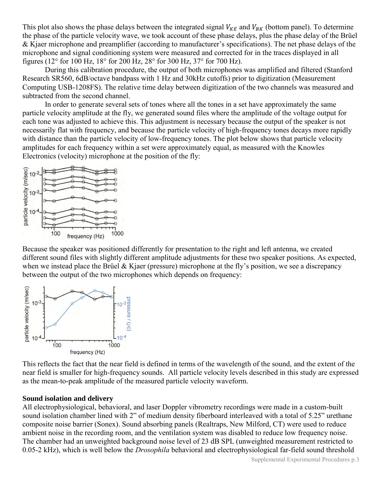This plot also shows the phase delays between the integrated signal  $V_{KE}$  and  $V_{BK}$  (bottom panel). To determine the phase of the particle velocity wave, we took account of these phase delays, plus the phase delay of the Brüel & Kjaer microphone and preamplifier (according to manufacturer's specifications). The net phase delays of the microphone and signal conditioning system were measured and corrected for in the traces displayed in all figures (12° for 100 Hz, 18° for 200 Hz, 28° for 300 Hz, 37° for 700 Hz).

During this calibration procedure, the output of both microphones was amplified and filtered (Stanford Research SR560, 6dB/octave bandpass with 1 Hz and 30kHz cutoffs) prior to digitization (Measurement Computing USB-1208FS). The relative time delay between digitization of the two channels was measured and subtracted from the second channel.

In order to generate several sets of tones where all the tones in a set have approximately the same particle velocity amplitude at the fly, we generated sound files where the amplitude of the voltage output for each tone was adjusted to achieve this. This adjustment is necessary because the output of the speaker is not necessarily flat with frequency, and because the particle velocity of high-frequency tones decays more rapidly with distance than the particle velocity of low-frequency tones. The plot below shows that particle velocity amplitudes for each frequency within a set were approximately equal, as measured with the Knowles Electronics (velocity) microphone at the position of the fly:



Because the speaker was positioned differently for presentation to the right and left antenna, we created different sound files with slightly different amplitude adjustments for these two speaker positions. As expected, when we instead place the Brüel  $&$  Kjaer (pressure) microphone at the fly's position, we see a discrepancy between the output of the two microphones which depends on frequency:



This reflects the fact that the near field is defined in terms of the wavelength of the sound, and the extent of the near field is smaller for high-frequency sounds. All particle velocity levels described in this study are expressed as the mean-to-peak amplitude of the measured particle velocity waveform.

#### **Sound isolation and delivery**

All electrophysiological, behavioral, and laser Doppler vibrometry recordings were made in a custom-built sound isolation chamber lined with 2" of medium density fiberboard interleaved with a total of 5.25" urethane composite noise barrier (Sonex). Sound absorbing panels (Realtraps, New Milford, CT) were used to reduce ambient noise in the recording room, and the ventilation system was disabled to reduce low frequency noise. The chamber had an unweighted background noise level of 23 dB SPL (unweighted measurement restricted to 0.05-2 kHz), which is well below the *Drosophila* behavioral and electrophysiological far-field sound threshold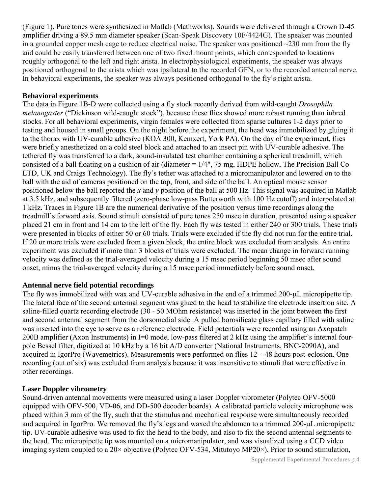(Figure 1). Pure tones were synthesized in Matlab (Mathworks). Sounds were delivered through a Crown D-45 amplifier driving a 89.5 mm diameter speaker (Scan-Speak Discovery 10F/4424G). The speaker was mounted in a grounded copper mesh cage to reduce electrical noise. The speaker was positioned  $\sim$ 230 mm from the fly and could be easily transferred between one of two fixed mount points, which corresponded to locations roughly orthogonal to the left and right arista. In electrophysiological experiments, the speaker was always positioned orthogonal to the arista which was ipsilateral to the recorded GFN, or to the recorded antennal nerve. In behavioral experiments, the speaker was always positioned orthogonal to the fly's right arista.

## **Behavioral experiments**

The data in Figure 1B-D were collected using a fly stock recently derived from wild-caught *Drosophila melanogaster* ("Dickinson wild-caught stock"), because these flies showed more robust running than inbred stocks. For all behavioral experiments, virgin females were collected from sparse cultures 1-2 days prior to testing and housed in small groups. On the night before the experiment, the head was immobilized by gluing it to the thorax with UV-curable adhesive (KOA 300, Kemxert, York PA). On the day of the experiment, flies were briefly anesthetized on a cold steel block and attached to an insect pin with UV-curable adhesive. The tethered fly was transferred to a dark, sound-insulated test chamber containing a spherical treadmill, which consisted of a ball floating on a cushion of air (diameter = 1/4", 75 mg, HDPE hollow, The Precision Ball Co LTD, UK and Craigs Technology). The fly's tether was attached to a micromanipulator and lowered on to the ball with the aid of cameras positioned on the top, front, and side of the ball. An optical mouse sensor positioned below the ball reported the *x* and *y* position of the ball at 500 Hz. This signal was acquired in Matlab at 3.5 kHz, and subsequently filtered (zero-phase low-pass Butterworth with 100 Hz cutoff) and interpolated at 1 kHz. Traces in Figure 1B are the numerical derivative of the position versus time recordings along the treadmill's forward axis. Sound stimuli consisted of pure tones 250 msec in duration, presented using a speaker placed 21 cm in front and 14 cm to the left of the fly. Each fly was tested in either 240 or 300 trials. These trials were presented in blocks of either 50 or 60 trials. Trials were excluded if the fly did not run for the entire trial. If 20 or more trials were excluded from a given block, the entire block was excluded from analysis. An entire experiment was excluded if more than 3 blocks of trials were excluded. The mean change in forward running velocity was defined as the trial-averaged velocity during a 15 msec period beginning 50 msec after sound onset, minus the trial-averaged velocity during a 15 msec period immediately before sound onset.

# **Antennal nerve field potential recordings**

The fly was immobilized with wax and UV-curable adhesive in the end of a trimmed 200-µL micropipette tip. The lateral face of the second antennal segment was glued to the head to stabilize the electrode insertion site. A saline-filled quartz recording electrode (30 - 50 MOhm resistance) was inserted in the joint between the first and second antennal segment from the dorsomedial side. A pulled borosilicate glass capillary filled with saline was inserted into the eye to serve as a reference electrode. Field potentials were recorded using an Axopatch 200B amplifier (Axon Instruments) in I=0 mode, low-pass filtered at 2 kHz using the amplifier's internal fourpole Bessel filter, digitized at 10 kHz by a 16 bit A/D converter (National Instruments, BNC-2090A), and acquired in IgorPro (Wavemetrics). Measurements were performed on flies 12 – 48 hours post-eclosion. One recording (out of six) was excluded from analysis because it was insensitive to stimuli that were effective in other recordings.

# **Laser Doppler vibrometry**

Sound-driven antennal movements were measured using a laser Doppler vibrometer (Polytec OFV-5000 equipped with OFV-500, VD-06, and DD-500 decoder boards). A calibrated particle velocity microphone was placed within 3 mm of the fly, such that the stimulus and mechanical response were simultaneously recorded and acquired in IgorPro. We removed the fly's legs and waxed the abdomen to a trimmed 200-µL micropipette tip. UV-curable adhesive was used to fix the head to the body, and also to fix the second antennal segments to the head. The micropipette tip was mounted on a micromanipulator, and was visualized using a CCD video imaging system coupled to a 20× objective (Polytec OFV-534, Mitutoyo MP20×). Prior to sound stimulation,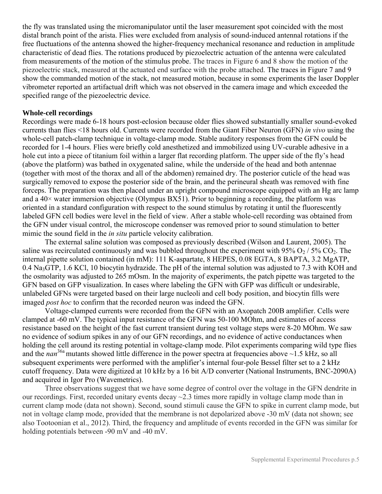the fly was translated using the micromanipulator until the laser measurement spot coincided with the most distal branch point of the arista. Flies were excluded from analysis of sound-induced antennal rotations if the free fluctuations of the antenna showed the higher-frequency mechanical resonance and reduction in amplitude characteristic of dead flies. The rotations produced by piezoelectric actuation of the antenna were calculated from measurements of the motion of the stimulus probe. The traces in Figure 6 and 8 show the motion of the piezoelectric stack, measured at the actuated end surface with the probe attached. The traces in Figure 7 and 9 show the commanded motion of the stack, not measured motion, because in some experiments the laser Doppler vibrometer reported an artifactual drift which was not observed in the camera image and which exceeded the specified range of the piezoelectric device.

## **Whole-cell recordings**

Recordings were made 6-18 hours post-eclosion because older flies showed substantially smaller sound-evoked currents than flies <18 hours old. Currents were recorded from the Giant Fiber Neuron (GFN) *in vivo* using the whole-cell patch-clamp technique in voltage-clamp mode. Stable auditory responses from the GFN could be recorded for 1-4 hours. Flies were briefly cold anesthetized and immobilized using UV-curable adhesive in a hole cut into a piece of titanium foil within a larger flat recording platform. The upper side of the fly's head (above the platform) was bathed in oxygenated saline, while the underside of the head and both antennae (together with most of the thorax and all of the abdomen) remained dry. The posterior cuticle of the head was surgically removed to expose the posterior side of the brain, and the perineural sheath was removed with fine forceps. The preparation was then placed under an upright compound microscope equipped with an Hg arc lamp and a  $40\times$  water immersion objective (Olympus BX51). Prior to beginning a recording, the platform was oriented in a standard configuration with respect to the sound stimulus by rotating it until the fluorescently labeled GFN cell bodies were level in the field of view. After a stable whole-cell recording was obtained from the GFN under visual control, the microscope condenser was removed prior to sound stimulation to better mimic the sound field in the *in situ* particle velocity calibration.

The external saline solution was composed as previously described [\(Wilson and Laurent, 2005\)](#page-12-13). The saline was recirculated continuously and was bubbled throughout the experiment with 95%  $O_2$  / 5%  $CO_2$ . The internal pipette solution contained (in mM): 111 K-aspartate, 8 HEPES, 0.08 EGTA, 8 BAPTA, 3.2 MgATP, 0.4 Na<sub>3</sub>GTP, 1.6 KCl, 10 biocytin hydrazide. The pH of the internal solution was adjusted to 7.3 with KOH and the osmolarity was adjusted to 265 mOsm. In the majority of experiments, the patch pipette was targeted to the GFN based on GFP visualization. In cases where labeling the GFN with GFP was difficult or undesirable, unlabeled GFNs were targeted based on their large nucleoli and cell body position, and biocytin fills were imaged *post hoc* to confirm that the recorded neuron was indeed the GFN.

Voltage-clamped currents were recorded from the GFN with an Axopatch 200B amplifier. Cells were clamped at -60 mV. The typical input resistance of the GFN was 50-100 MOhm, and estimates of access resistance based on the height of the fast current transient during test voltage steps were 8-20 MOhm. We saw no evidence of sodium spikes in any of our GFN recordings, and no evidence of active conductances when holding the cell around its resting potential in voltage-clamp mode. Pilot experiments comparing wild type flies and the *nan*<sup>36a</sup> mutants showed little difference in the power spectra at frequencies above ~1.5 kHz, so all subsequent experiments were performed with the amplifier's internal four-pole Bessel filter set to a 2 kHz cutoff frequency. Data were digitized at 10 kHz by a 16 bit A/D converter (National Instruments, BNC-2090A) and acquired in Igor Pro (Wavemetrics).

Three observations suggest that we have some degree of control over the voltage in the GFN dendrite in our recordings. First, recorded unitary events decay ~2.3 times more rapidly in voltage clamp mode than in current clamp mode (data not shown). Second, sound stimuli cause the GFN to spike in current clamp mode, but not in voltage clamp mode, provided that the membrane is not depolarized above -30 mV [\(data not shown; see](#page-12-14)  [also Tootoonian et al., 2012\)](#page-12-14). Third, the frequency and amplitude of events recorded in the GFN was similar for holding potentials between -90 mV and -40 mV.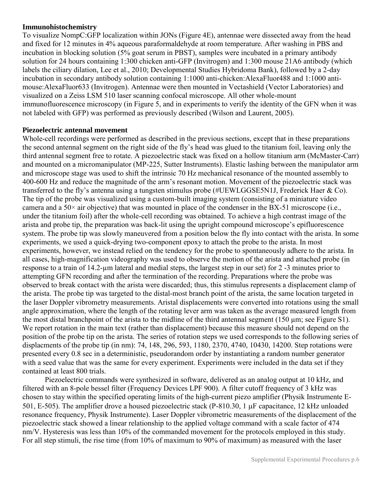## **Immunohistochemistry**

To visualize NompC:GFP localization within JONs (Figure 4E), antennae were dissected away from the head and fixed for 12 minutes in 4% aqueous paraformaldehyde at room temperature. After washing in PBS and incubation in blocking solution (5% goat serum in PBST), samples were incubated in a primary antibody solution for 24 hours containing 1:300 chicken anti-GFP (Invitrogen) and 1:300 mouse 21A6 antibody (which labels the ciliary dilation, Lee et al., 2010; Developmental Studies Hybridoma Bank), followed by a 2-day incubation in secondary antibody solution containing 1:1000 anti-chicken:AlexaFluor488 and 1:1000 antimouse:AlexaFluor633 (Invitrogen). Antennae were then mounted in Vectashield (Vector Laboratories) and visualized on a Zeiss LSM 510 laser scanning confocal microscope. All other whole-mount immunofluorescence microscopy (in Figure 5, and in experim[ents to verify the identity of](#page-12-13) the GFN when it was not labeled with GFP) was performed as previously described (Wilson and Laurent, 2005).

## **Piezoelectric antennal movement**

Whole-cell recordings were performed as described in the previous sections, except that in these preparations the second antennal segment on the right side of the fly's head was glued to the titanium foil, leaving only the third antennal segment free to rotate. A piezoelectric stack was fixed on a hollow titanium arm (McMaster-Carr) and mounted on a micromanipulator (MP-225, Sutter Instruments). Elastic lashing between the manipulator arm and microscope stage was used to shift the intrinsic 70 Hz mechanical resonance of the mounted assembly to 400-600 Hz and reduce the magnitude of the arm's resonant motion. Movement of the piezoelectric stack was transferred to the fly's antenna using a tungsten stimulus probe (#UEWLGGSE5N1J, Frederick Haer & Co). The tip of the probe was visualized using a custom-built imaging system (consisting of a miniature video camera and a  $50\times$  air objective) that was mounted in place of the condenser in the BX-51 microscope (i.e., under the titanium foil) after the whole-cell recording was obtained. To achieve a high contrast image of the arista and probe tip, the preparation was back-lit using the upright compound microscope's epifluorescence system. The probe tip was slowly maneuvered from a position below the fly into contact with the arista. In some experiments, we used a quick-drying two-component epoxy to attach the probe to the arista. In most experiments, however, we instead relied on the tendency for the probe to spontaneously adhere to the arista. In all cases, high-magnification videography was used to observe the motion of the arista and attached probe (in response to a train of 14.2-µm lateral and medial steps, the largest step in our set) for 2 -3 minutes prior to attempting GFN recording and after the termination of the recording. Preparations where the probe was observed to break contact with the arista were discarded; thus, this stimulus represents a displacement clamp of the arista. The probe tip was targeted to the distal-most branch point of the arista, the same location targeted in the laser Doppler vibrometry measurements. Aristal displacements were converted into rotations using the small angle approximation, where the length of the rotating lever arm was taken as the average measured length from the most distal branchpoint of the arista to the midline of the third antennal segment (150  $\mu$ m; see Figure S1). We report rotation in the main text (rather than displacement) because this measure should not depend on the position of the probe tip on the arista. The series of rotation steps we used corresponds to the following series of displacments of the probe tip (in nm): 74, 148, 296, 593, 1180, 2370, 4740, 10430, 14200. Step rotations were presented every 0.8 sec in a deterministic, pseudorandom order by instantiating a random number generator with a seed value that was the same for every experiment. Experiments were included in the data set if they contained at least 800 trials.

Piezoelectric commands were synthesized in software, delivered as an analog output at 10 kHz, and filtered with an 8-pole bessel filter (Frequency Devices LPF 900). A filter cutoff frequency of 3 kHz was chosen to stay within the specified operating limits of the high-current piezo amplifier (Physik Instrumente E-501, E-505). The amplifier drove a housed piezoelectric stack (P-810.30, 1  $\mu$ F capacitance, 12 kHz unloaded resonance frequency, Physik Instrumente). Laser Doppler vibrometric measurements of the displacement of the piezoelectric stack showed a linear relationship to the applied voltage command with a scale factor of 474 nm/V. Hysteresis was less than 10% of the commanded movement for the protocols employed in this study. For all step stimuli, the rise time (from 10% of maximum to 90% of maximum) as measured with the laser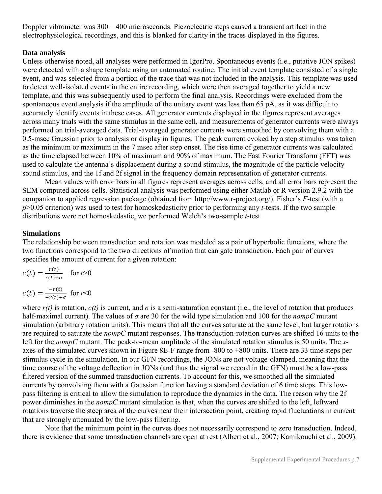Doppler vibrometer was 300 – 400 microseconds. Piezoelectric steps caused a transient artifact in the electrophysiological recordings, and this is blanked for clarity in the traces displayed in the figures.

# **Data analysis**

Unless otherwise noted, all analyses were performed in IgorPro. Spontaneous events (i.e., putative JON spikes) were detected with a shape template using an automated routine. The initial event template consisted of a single event, and was selected from a portion of the trace that was not included in the analysis. This template was used to detect well-isolated events in the entire recording, which were then averaged together to yield a new template, and this was subsequently used to perform the final analysis. Recordings were excluded from the spontaneous event analysis if the amplitude of the unitary event was less than 65 pA, as it was difficult to accurately identify events in these cases. All generator currents displayed in the figures represent averages across many trials with the same stimulus in the same cell, and measurements of generator currents were always performed on trial-averaged data. Trial-averaged generator currents were smoothed by convolving them with a 0.5-msec Gaussian prior to analysis or display in figures. The peak current evoked by a step stimulus was taken as the minimum or maximum in the 7 msec after step onset. The rise time of generator currents was calculated as the time elapsed between 10% of maximum and 90% of maximum. The Fast Fourier Transform (FFT) was used to calculate the antenna's displacement during a sound stimulus, the magnitude of the particle velocity sound stimulus, and the 1f and 2f signal in the frequency domain representation of generator currents.

Mean values with error bars in all figures represent averages across cells, and all error bars represent the SEM computed across cells. Statistical analysis was performed using either Matlab or R version 2.9.2 with the companion to applied regression package (obtained from http://www.r-project.org/). Fisher's *F*-test (with a *p*>0.05 criterion) was used to test for homoskedasticity prior to performing any *t*-tests. If the two sample distributions were not homoskedastic, we performed Welch's two-sample *t*-test.

# **Simulations**

The relationship between transduction and rotation was modeled as a pair of hyperbolic functions, where the two functions correspond to the two directions of motion that can gate transduction. Each pair of curves specifies the amount of current for a given rotation:

$$
c(t) = \frac{r(t)}{r(t) + \sigma} \quad \text{for } r > 0
$$

$$
c(t) = \frac{-r(t)}{-r(t) + \sigma} \quad \text{for } r < 0
$$

where  $r(t)$  is rotation,  $c(t)$  is current, and  $\sigma$  is a semi-saturation constant (i.e., the level of rotation that produces half-maximal current). The values of *σ* are 30 for the wild type simulation and 100 for the *nompC* mutant simulation (arbitrary rotation units). This means that all the curves saturate at the same level, but larger rotations are required to saturate the *nompC* mutant responses. The transduction-rotation curves are shifted 16 units to the left for the *nompC* mutant. The peak-to-mean amplitude of the simulated rotation stimulus is 50 units. The *x*axes of the simulated curves shown in Figure 8E-F range from -800 to +800 units. There are 33 time steps per stimulus cycle in the simulation. In our GFN recordings, the JONs are not voltage-clamped, meaning that the time course of the voltage deflection in JONs (and thus the signal we record in the GFN) must be a low-pass filtered version of the summed transduction currents. To account for this, we smoothed all the simulated currents by convolving them with a Gaussian function having a standard deviation of 6 time steps. This lowpass filtering is critical to allow the simulation to reproduce the dynamics in the data. The reason why the 2f power diminishes in the *nompC* mutant simulation is that, when the curves are shifted to the left, leftward rotations traverse the steep area of the curves near their intersection point, creating rapid fluctuations in current that are strongly attenuated by the low-pass filtering.

Note that the minimum point in the curves does not necessarily correspond to zero transduction. Indeed, there is evidence that some transduction channels are open at rest [\(Albert et al., 2007;](#page-12-15) [Kamikouchi et al., 2009\)](#page-12-16).